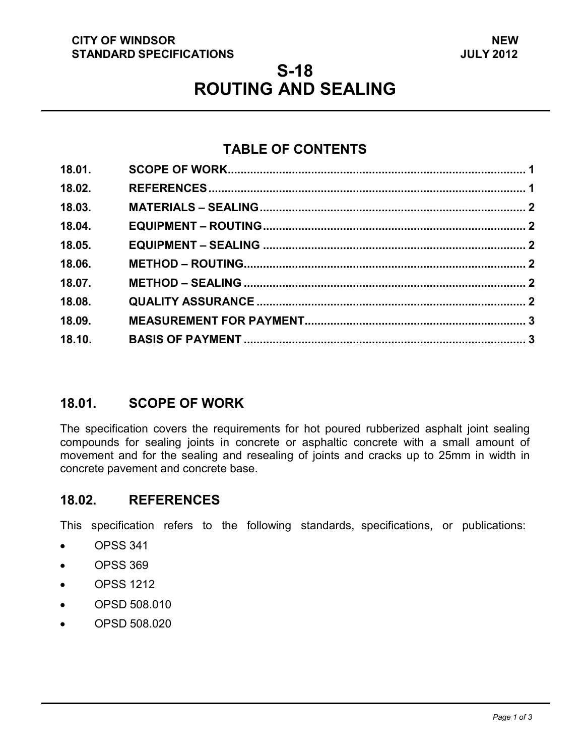#### **CITY OF WINDSOR STANDARD SPECIFICATIONS**

# **S-18 ROUTING AND SEALING**

# **TABLE OF CONTENTS**

| 18.01. |  |
|--------|--|
| 18.02. |  |
| 18.03. |  |
| 18.04. |  |
| 18.05. |  |
| 18.06. |  |
| 18.07. |  |
| 18.08. |  |
| 18.09. |  |
| 18.10. |  |
|        |  |

# <span id="page-0-1"></span>**18.01. SCOPE OF WORK**

The specification covers the requirements for hot poured rubberized asphalt joint sealing compounds for sealing joints in concrete or asphaltic concrete with a small amount of movement and for the sealing and resealing of joints and cracks up to 25mm in width in concrete pavement and concrete base.

#### <span id="page-0-0"></span>**18.02. REFERENCES**

This specification refers to the following standards, specifications, or publications:

- OPSS 341
- OPSS 369
- OPSS 1212
- OPSD 508.010
- OPSD 508.020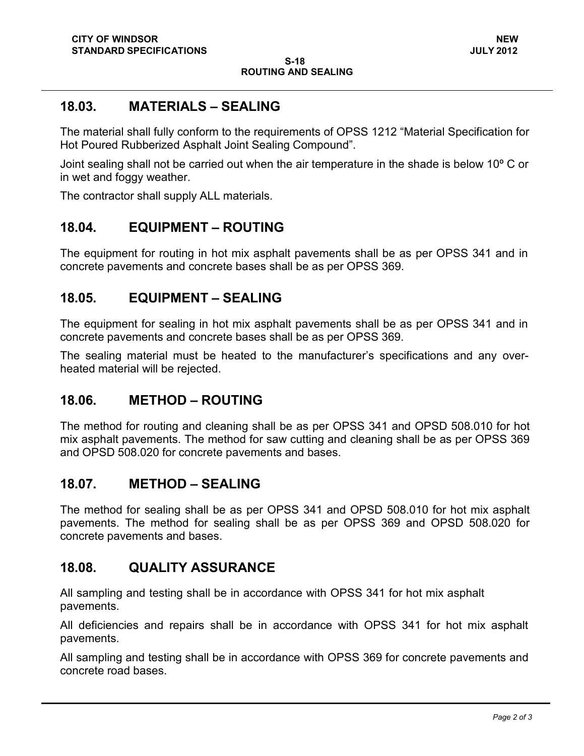# <span id="page-1-0"></span>**18.03. MATERIALS – SEALING**

The material shall fully conform to the requirements of OPSS 1212 "Material Specification for Hot Poured Rubberized Asphalt Joint Sealing Compound".

Joint sealing shall not be carried out when the air temperature in the shade is below 10º C or in wet and foggy weather.

The contractor shall supply ALL materials.

## <span id="page-1-1"></span>**18.04. EQUIPMENT – ROUTING**

The equipment for routing in hot mix asphalt pavements shall be as per OPSS 341 and in concrete pavements and concrete bases shall be as per OPSS 369.

#### <span id="page-1-2"></span>**18.05. EQUIPMENT – SEALING**

The equipment for sealing in hot mix asphalt pavements shall be as per OPSS 341 and in concrete pavements and concrete bases shall be as per OPSS 369.

The sealing material must be heated to the manufacturer's specifications and any overheated material will be rejected.

#### <span id="page-1-3"></span>**18.06. METHOD – ROUTING**

The method for routing and cleaning shall be as per OPSS 341 and OPSD 508.010 for hot mix asphalt pavements. The method for saw cutting and cleaning shall be as per OPSS 369 and OPSD 508.020 for concrete pavements and bases.

#### <span id="page-1-4"></span>**18.07. METHOD – SEALING**

The method for sealing shall be as per OPSS 341 and OPSD 508.010 for hot mix asphalt pavements. The method for sealing shall be as per OPSS 369 and OPSD 508.020 for concrete pavements and bases.

# <span id="page-1-5"></span>**18.08. QUALITY ASSURANCE**

All sampling and testing shall be in accordance with OPSS 341 for hot mix asphalt pavements.

All deficiencies and repairs shall be in accordance with OPSS 341 for hot mix asphalt pavements.

All sampling and testing shall be in accordance with OPSS 369 for concrete pavements and concrete road bases.